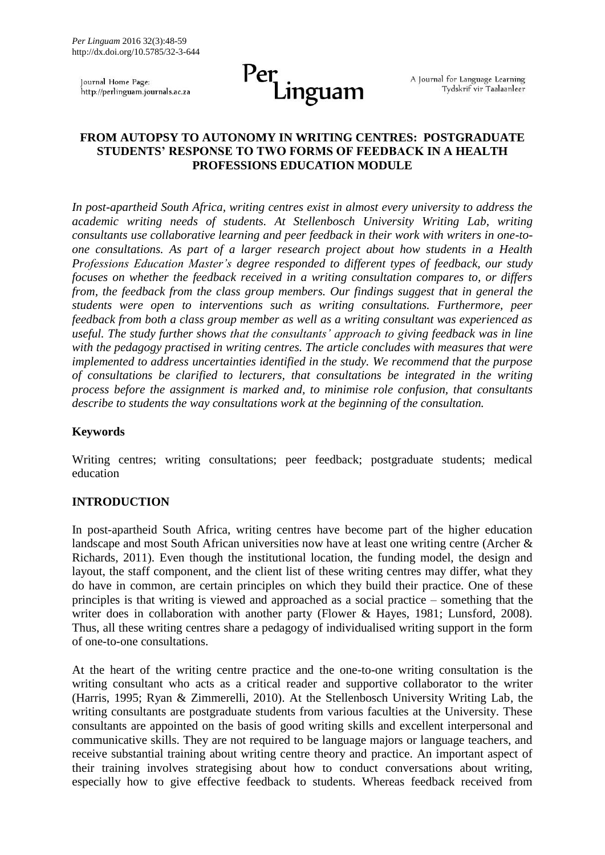Journal Home Page: http://perlinguam.journals.ac.za



A Journal for Language Learning Tydskrif vir Taalaanleer

## **FROM AUTOPSY TO AUTONOMY IN WRITING CENTRES: POSTGRADUATE STUDENTS' RESPONSE TO TWO FORMS OF FEEDBACK IN A HEALTH PROFESSIONS EDUCATION MODULE**

*In post-apartheid South Africa, writing centres exist in almost every university to address the academic writing needs of students. At Stellenbosch University Writing Lab, writing consultants use collaborative learning and peer feedback in their work with writers in one-toone consultations. As part of a larger research project about how students in a Health Professions Education Master's degree responded to different types of feedback, our study focuses on whether the feedback received in a writing consultation compares to, or differs from, the feedback from the class group members. Our findings suggest that in general the students were open to interventions such as writing consultations. Furthermore, peer feedback from both a class group member as well as a writing consultant was experienced as useful. The study further shows that the consultants' approach to giving feedback was in line with the pedagogy practised in writing centres. The article concludes with measures that were implemented to address uncertainties identified in the study. We recommend that the purpose of consultations be clarified to lecturers, that consultations be integrated in the writing process before the assignment is marked and, to minimise role confusion, that consultants describe to students the way consultations work at the beginning of the consultation.* 

### **Keywords**

Writing centres; writing consultations; peer feedback; postgraduate students; medical education

### **INTRODUCTION**

In post-apartheid South Africa, writing centres have become part of the higher education landscape and most South African universities now have at least one writing centre (Archer & Richards, 2011). Even though the institutional location, the funding model, the design and layout, the staff component, and the client list of these writing centres may differ, what they do have in common, are certain principles on which they build their practice. One of these principles is that writing is viewed and approached as a social practice – something that the writer does in collaboration with another party (Flower & Hayes, 1981; Lunsford, 2008). Thus, all these writing centres share a pedagogy of individualised writing support in the form of one-to-one consultations.

At the heart of the writing centre practice and the one-to-one writing consultation is the writing consultant who acts as a critical reader and supportive collaborator to the writer (Harris, 1995; Ryan & Zimmerelli, 2010). At the Stellenbosch University Writing Lab, the writing consultants are postgraduate students from various faculties at the University. These consultants are appointed on the basis of good writing skills and excellent interpersonal and communicative skills. They are not required to be language majors or language teachers, and receive substantial training about writing centre theory and practice. An important aspect of their training involves strategising about how to conduct conversations about writing, especially how to give effective feedback to students. Whereas feedback received from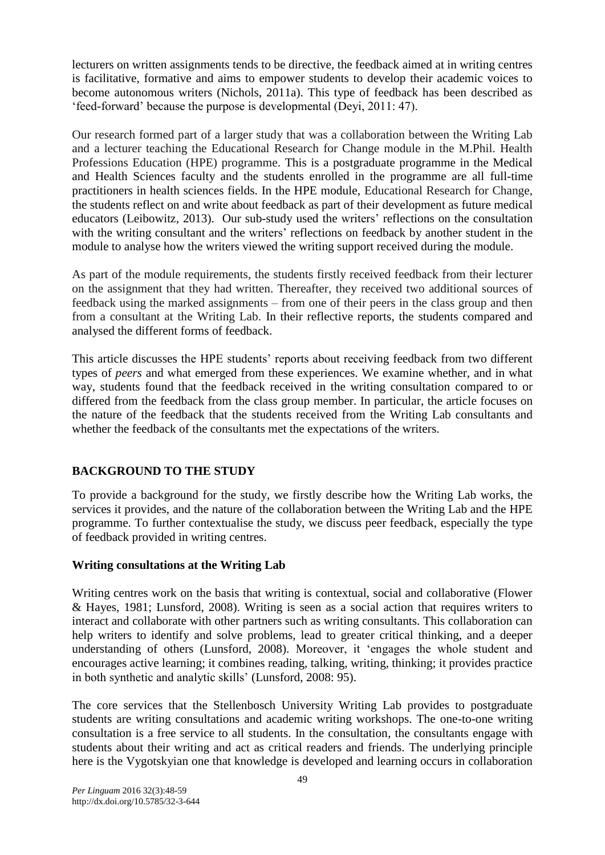lecturers on written assignments tends to be directive, the feedback aimed at in writing centres is facilitative, formative and aims to empower students to develop their academic voices to become autonomous writers (Nichols, 2011a). This type of feedback has been described as 'feed-forward' because the purpose is developmental (Deyi, 2011: 47).

Our research formed part of a larger study that was a collaboration between the Writing Lab and a lecturer teaching the Educational Research for Change module in the M.Phil. Health Professions Education (HPE) programme. This is a postgraduate programme in the Medical and Health Sciences faculty and the students enrolled in the programme are all full-time practitioners in health sciences fields. In the HPE module, Educational Research for Change, the students reflect on and write about feedback as part of their development as future medical educators (Leibowitz, 2013). Our sub-study used the writers' reflections on the consultation with the writing consultant and the writers' reflections on feedback by another student in the module to analyse how the writers viewed the writing support received during the module.

As part of the module requirements, the students firstly received feedback from their lecturer on the assignment that they had written. Thereafter, they received two additional sources of feedback using the marked assignments – from one of their peers in the class group and then from a consultant at the Writing Lab. In their reflective reports, the students compared and analysed the different forms of feedback.

This article discusses the HPE students' reports about receiving feedback from two different types of *peers* and what emerged from these experiences. We examine whether, and in what way, students found that the feedback received in the writing consultation compared to or differed from the feedback from the class group member. In particular, the article focuses on the nature of the feedback that the students received from the Writing Lab consultants and whether the feedback of the consultants met the expectations of the writers.

# **BACKGROUND TO THE STUDY**

To provide a background for the study, we firstly describe how the Writing Lab works, the services it provides, and the nature of the collaboration between the Writing Lab and the HPE programme. To further contextualise the study, we discuss peer feedback, especially the type of feedback provided in writing centres.

## **Writing consultations at the Writing Lab**

Writing centres work on the basis that writing is contextual, social and collaborative (Flower & Hayes, 1981; Lunsford, 2008). Writing is seen as a social action that requires writers to interact and collaborate with other partners such as writing consultants. This collaboration can help writers to identify and solve problems, lead to greater critical thinking, and a deeper understanding of others (Lunsford, 2008). Moreover, it 'engages the whole student and encourages active learning; it combines reading, talking, writing, thinking; it provides practice in both synthetic and analytic skills' (Lunsford, 2008: 95).

The core services that the Stellenbosch University Writing Lab provides to postgraduate students are writing consultations and academic writing workshops. The one-to-one writing consultation is a free service to all students. In the consultation, the consultants engage with students about their writing and act as critical readers and friends. The underlying principle here is the Vygotskyian one that knowledge is developed and learning occurs in collaboration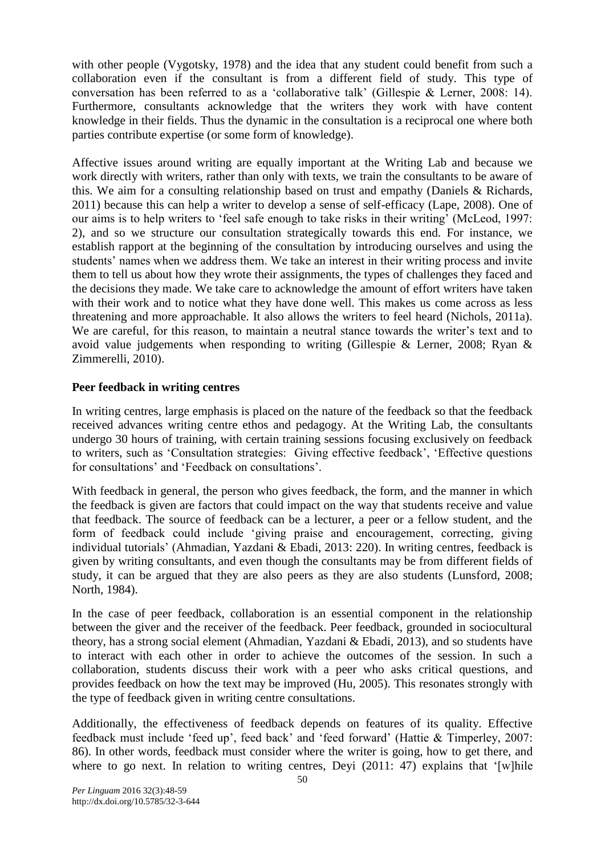with other people (Vygotsky, 1978) and the idea that any student could benefit from such a collaboration even if the consultant is from a different field of study. This type of conversation has been referred to as a 'collaborative talk' (Gillespie & Lerner, 2008: 14). Furthermore, consultants acknowledge that the writers they work with have content knowledge in their fields. Thus the dynamic in the consultation is a reciprocal one where both parties contribute expertise (or some form of knowledge).

Affective issues around writing are equally important at the Writing Lab and because we work directly with writers, rather than only with texts, we train the consultants to be aware of this. We aim for a consulting relationship based on trust and empathy (Daniels & Richards, 2011) because this can help a writer to develop a sense of self-efficacy (Lape, 2008). One of our aims is to help writers to 'feel safe enough to take risks in their writing' (McLeod, 1997: 2), and so we structure our consultation strategically towards this end. For instance, we establish rapport at the beginning of the consultation by introducing ourselves and using the students' names when we address them. We take an interest in their writing process and invite them to tell us about how they wrote their assignments, the types of challenges they faced and the decisions they made. We take care to acknowledge the amount of effort writers have taken with their work and to notice what they have done well. This makes us come across as less threatening and more approachable. It also allows the writers to feel heard (Nichols, 2011a). We are careful, for this reason, to maintain a neutral stance towards the writer's text and to avoid value judgements when responding to writing (Gillespie & Lerner, 2008; Ryan & Zimmerelli, 2010).

## **Peer feedback in writing centres**

In writing centres, large emphasis is placed on the nature of the feedback so that the feedback received advances writing centre ethos and pedagogy. At the Writing Lab, the consultants undergo 30 hours of training, with certain training sessions focusing exclusively on feedback to writers, such as 'Consultation strategies: Giving effective feedback', 'Effective questions for consultations' and 'Feedback on consultations'.

With feedback in general, the person who gives feedback, the form, and the manner in which the feedback is given are factors that could impact on the way that students receive and value that feedback. The source of feedback can be a lecturer, a peer or a fellow student, and the form of feedback could include 'giving praise and encouragement, correcting, giving individual tutorials' (Ahmadian, Yazdani & Ebadi, 2013: 220). In writing centres, feedback is given by writing consultants, and even though the consultants may be from different fields of study, it can be argued that they are also peers as they are also students (Lunsford, 2008; North, 1984).

In the case of peer feedback, collaboration is an essential component in the relationship between the giver and the receiver of the feedback. Peer feedback, grounded in sociocultural theory, has a strong social element (Ahmadian, Yazdani & Ebadi, 2013), and so students have to interact with each other in order to achieve the outcomes of the session. In such a collaboration, students discuss their work with a peer who asks critical questions, and provides feedback on how the text may be improved (Hu, 2005). This resonates strongly with the type of feedback given in writing centre consultations.

Additionally, the effectiveness of feedback depends on features of its quality. Effective feedback must include 'feed up', feed back' and 'feed forward' (Hattie & Timperley, 2007: 86). In other words, feedback must consider where the writer is going, how to get there, and where to go next. In relation to writing centres, Deyi (2011: 47) explains that '[w]hile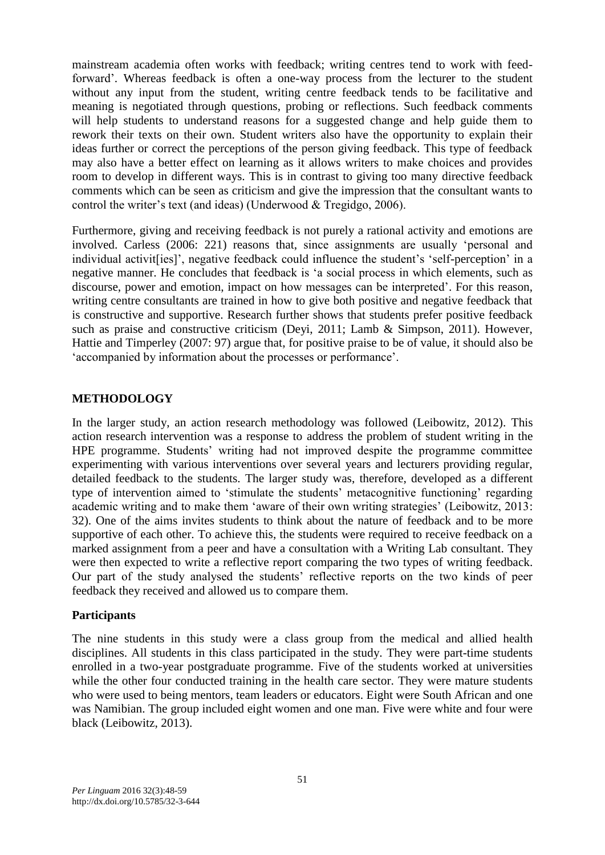mainstream academia often works with feedback; writing centres tend to work with feedforward'. Whereas feedback is often a one-way process from the lecturer to the student without any input from the student, writing centre feedback tends to be facilitative and meaning is negotiated through questions, probing or reflections. Such feedback comments will help students to understand reasons for a suggested change and help guide them to rework their texts on their own. Student writers also have the opportunity to explain their ideas further or correct the perceptions of the person giving feedback. This type of feedback may also have a better effect on learning as it allows writers to make choices and provides room to develop in different ways. This is in contrast to giving too many directive feedback comments which can be seen as criticism and give the impression that the consultant wants to control the writer's text (and ideas) (Underwood & Tregidgo, 2006).

Furthermore, giving and receiving feedback is not purely a rational activity and emotions are involved. Carless (2006: 221) reasons that, since assignments are usually 'personal and individual activit[ies]', negative feedback could influence the student's 'self-perception' in a negative manner. He concludes that feedback is 'a social process in which elements, such as discourse, power and emotion, impact on how messages can be interpreted'. For this reason, writing centre consultants are trained in how to give both positive and negative feedback that is constructive and supportive. Research further shows that students prefer positive feedback such as praise and constructive criticism (Deyi, 2011; Lamb & Simpson, 2011). However, Hattie and Timperley (2007: 97) argue that, for positive praise to be of value, it should also be 'accompanied by information about the processes or performance'.

## **METHODOLOGY**

In the larger study, an action research methodology was followed (Leibowitz, 2012). This action research intervention was a response to address the problem of student writing in the HPE programme. Students' writing had not improved despite the programme committee experimenting with various interventions over several years and lecturers providing regular, detailed feedback to the students. The larger study was, therefore, developed as a different type of intervention aimed to 'stimulate the students' metacognitive functioning' regarding academic writing and to make them 'aware of their own writing strategies' (Leibowitz, 2013: 32). One of the aims invites students to think about the nature of feedback and to be more supportive of each other. To achieve this, the students were required to receive feedback on a marked assignment from a peer and have a consultation with a Writing Lab consultant. They were then expected to write a reflective report comparing the two types of writing feedback. Our part of the study analysed the students' reflective reports on the two kinds of peer feedback they received and allowed us to compare them.

### **Participants**

The nine students in this study were a class group from the medical and allied health disciplines. All students in this class participated in the study. They were part-time students enrolled in a two-year postgraduate programme. Five of the students worked at universities while the other four conducted training in the health care sector. They were mature students who were used to being mentors, team leaders or educators. Eight were South African and one was Namibian. The group included eight women and one man. Five were white and four were black (Leibowitz, 2013).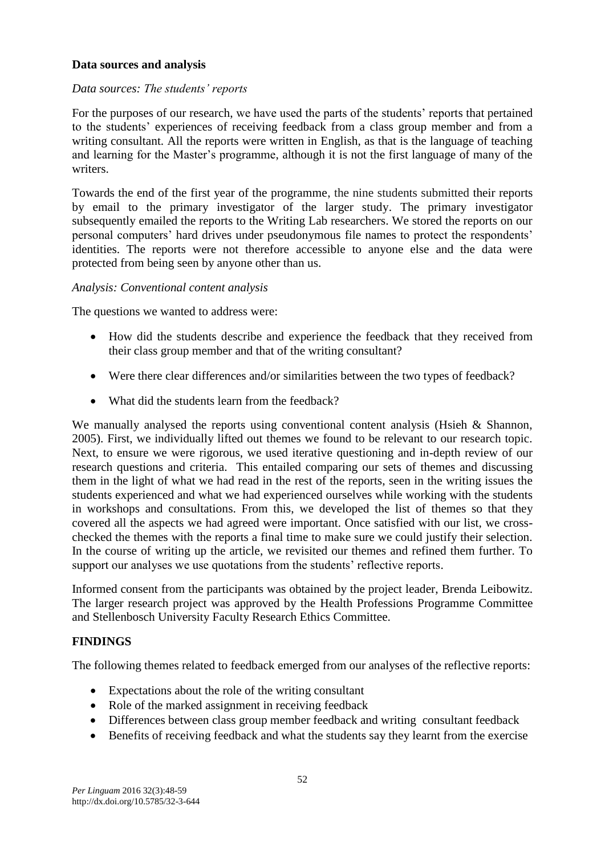## **Data sources and analysis**

### *Data sources: The students' reports*

For the purposes of our research, we have used the parts of the students' reports that pertained to the students' experiences of receiving feedback from a class group member and from a writing consultant. All the reports were written in English, as that is the language of teaching and learning for the Master's programme, although it is not the first language of many of the writers.

Towards the end of the first year of the programme, the nine students submitted their reports by email to the primary investigator of the larger study. The primary investigator subsequently emailed the reports to the Writing Lab researchers. We stored the reports on our personal computers' hard drives under pseudonymous file names to protect the respondents' identities. The reports were not therefore accessible to anyone else and the data were protected from being seen by anyone other than us.

### *Analysis: Conventional content analysis*

The questions we wanted to address were:

- How did the students describe and experience the feedback that they received from their class group member and that of the writing consultant?
- Were there clear differences and/or similarities between the two types of feedback?
- What did the students learn from the feedback?

We manually analysed the reports using conventional content analysis (Hsieh & Shannon, 2005). First, we individually lifted out themes we found to be relevant to our research topic. Next, to ensure we were rigorous, we used iterative questioning and in-depth review of our research questions and criteria. This entailed comparing our sets of themes and discussing them in the light of what we had read in the rest of the reports, seen in the writing issues the students experienced and what we had experienced ourselves while working with the students in workshops and consultations. From this, we developed the list of themes so that they covered all the aspects we had agreed were important. Once satisfied with our list, we crosschecked the themes with the reports a final time to make sure we could justify their selection. In the course of writing up the article, we revisited our themes and refined them further. To support our analyses we use quotations from the students' reflective reports.

Informed consent from the participants was obtained by the project leader, Brenda Leibowitz. The larger research project was approved by the Health Professions Programme Committee and Stellenbosch University Faculty Research Ethics Committee.

## **FINDINGS**

The following themes related to feedback emerged from our analyses of the reflective reports:

- Expectations about the role of the writing consultant
- Role of the marked assignment in receiving feedback
- Differences between class group member feedback and writing consultant feedback
- Benefits of receiving feedback and what the students say they learnt from the exercise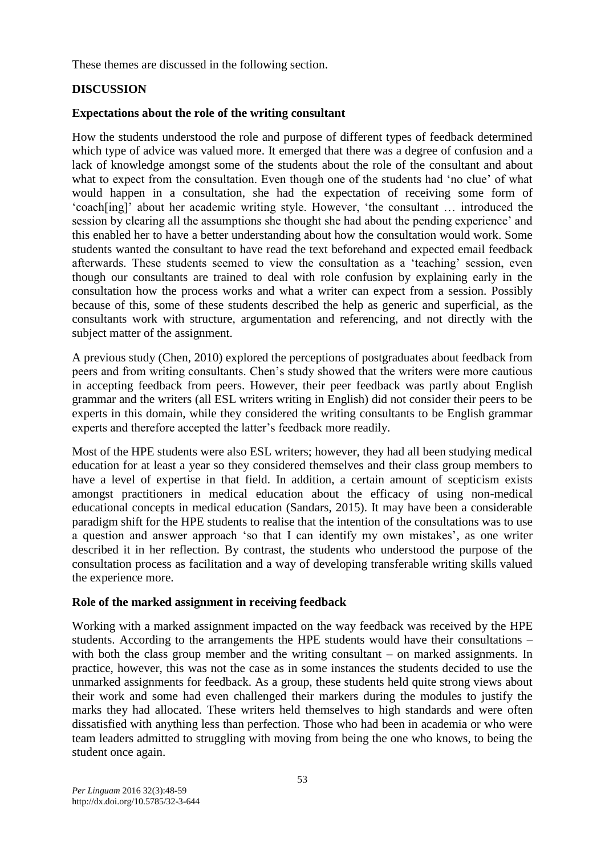These themes are discussed in the following section.

## **DISCUSSION**

## **Expectations about the role of the writing consultant**

How the students understood the role and purpose of different types of feedback determined which type of advice was valued more. It emerged that there was a degree of confusion and a lack of knowledge amongst some of the students about the role of the consultant and about what to expect from the consultation. Even though one of the students had 'no clue' of what would happen in a consultation, she had the expectation of receiving some form of 'coach[ing]' about her academic writing style. However, 'the consultant … introduced the session by clearing all the assumptions she thought she had about the pending experience' and this enabled her to have a better understanding about how the consultation would work. Some students wanted the consultant to have read the text beforehand and expected email feedback afterwards. These students seemed to view the consultation as a 'teaching' session, even though our consultants are trained to deal with role confusion by explaining early in the consultation how the process works and what a writer can expect from a session. Possibly because of this, some of these students described the help as generic and superficial, as the consultants work with structure, argumentation and referencing, and not directly with the subject matter of the assignment.

A previous study (Chen, 2010) explored the perceptions of postgraduates about feedback from peers and from writing consultants. Chen's study showed that the writers were more cautious in accepting feedback from peers. However, their peer feedback was partly about English grammar and the writers (all ESL writers writing in English) did not consider their peers to be experts in this domain, while they considered the writing consultants to be English grammar experts and therefore accepted the latter's feedback more readily.

Most of the HPE students were also ESL writers; however, they had all been studying medical education for at least a year so they considered themselves and their class group members to have a level of expertise in that field. In addition, a certain amount of scepticism exists amongst practitioners in medical education about the efficacy of using non-medical educational concepts in medical education (Sandars, 2015). It may have been a considerable paradigm shift for the HPE students to realise that the intention of the consultations was to use a question and answer approach 'so that I can identify my own mistakes', as one writer described it in her reflection. By contrast, the students who understood the purpose of the consultation process as facilitation and a way of developing transferable writing skills valued the experience more.

## **Role of the marked assignment in receiving feedback**

Working with a marked assignment impacted on the way feedback was received by the HPE students. According to the arrangements the HPE students would have their consultations – with both the class group member and the writing consultant – on marked assignments. In practice, however, this was not the case as in some instances the students decided to use the unmarked assignments for feedback. As a group, these students held quite strong views about their work and some had even challenged their markers during the modules to justify the marks they had allocated. These writers held themselves to high standards and were often dissatisfied with anything less than perfection. Those who had been in academia or who were team leaders admitted to struggling with moving from being the one who knows, to being the student once again.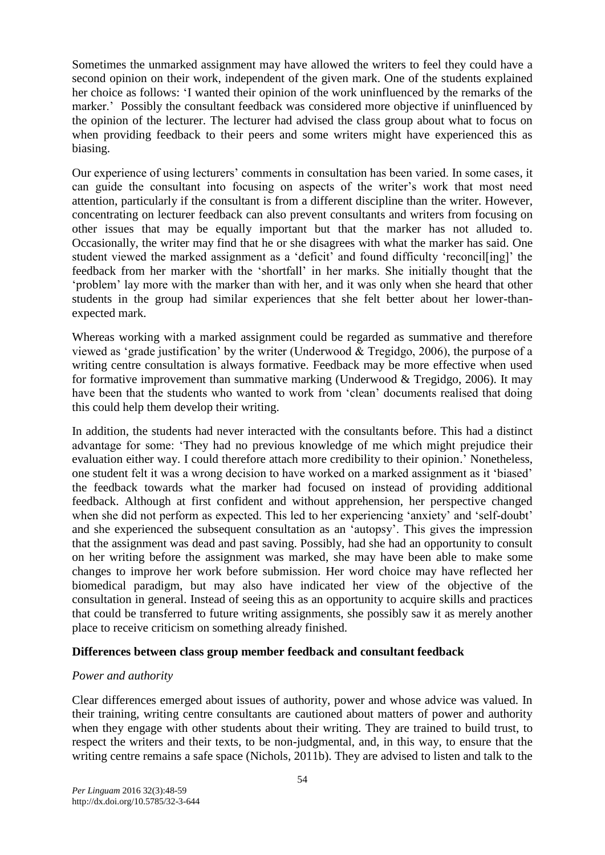Sometimes the unmarked assignment may have allowed the writers to feel they could have a second opinion on their work, independent of the given mark. One of the students explained her choice as follows: 'I wanted their opinion of the work uninfluenced by the remarks of the marker.' Possibly the consultant feedback was considered more objective if uninfluenced by the opinion of the lecturer. The lecturer had advised the class group about what to focus on when providing feedback to their peers and some writers might have experienced this as biasing.

Our experience of using lecturers' comments in consultation has been varied. In some cases, it can guide the consultant into focusing on aspects of the writer's work that most need attention, particularly if the consultant is from a different discipline than the writer. However, concentrating on lecturer feedback can also prevent consultants and writers from focusing on other issues that may be equally important but that the marker has not alluded to. Occasionally, the writer may find that he or she disagrees with what the marker has said. One student viewed the marked assignment as a 'deficit' and found difficulty 'reconcil[ing]' the feedback from her marker with the 'shortfall' in her marks. She initially thought that the 'problem' lay more with the marker than with her, and it was only when she heard that other students in the group had similar experiences that she felt better about her lower-thanexpected mark.

Whereas working with a marked assignment could be regarded as summative and therefore viewed as 'grade justification' by the writer (Underwood & Tregidgo, 2006), the purpose of a writing centre consultation is always formative. Feedback may be more effective when used for formative improvement than summative marking (Underwood & Tregidgo, 2006). It may have been that the students who wanted to work from 'clean' documents realised that doing this could help them develop their writing.

In addition, the students had never interacted with the consultants before. This had a distinct advantage for some: 'They had no previous knowledge of me which might prejudice their evaluation either way. I could therefore attach more credibility to their opinion.' Nonetheless, one student felt it was a wrong decision to have worked on a marked assignment as it 'biased' the feedback towards what the marker had focused on instead of providing additional feedback. Although at first confident and without apprehension, her perspective changed when she did not perform as expected. This led to her experiencing 'anxiety' and 'self-doubt' and she experienced the subsequent consultation as an 'autopsy'. This gives the impression that the assignment was dead and past saving. Possibly, had she had an opportunity to consult on her writing before the assignment was marked, she may have been able to make some changes to improve her work before submission. Her word choice may have reflected her biomedical paradigm, but may also have indicated her view of the objective of the consultation in general. Instead of seeing this as an opportunity to acquire skills and practices that could be transferred to future writing assignments, she possibly saw it as merely another place to receive criticism on something already finished.

### **Differences between class group member feedback and consultant feedback**

## *Power and authority*

Clear differences emerged about issues of authority, power and whose advice was valued. In their training, writing centre consultants are cautioned about matters of power and authority when they engage with other students about their writing. They are trained to build trust, to respect the writers and their texts, to be non-judgmental, and, in this way, to ensure that the writing centre remains a safe space (Nichols, 2011b). They are advised to listen and talk to the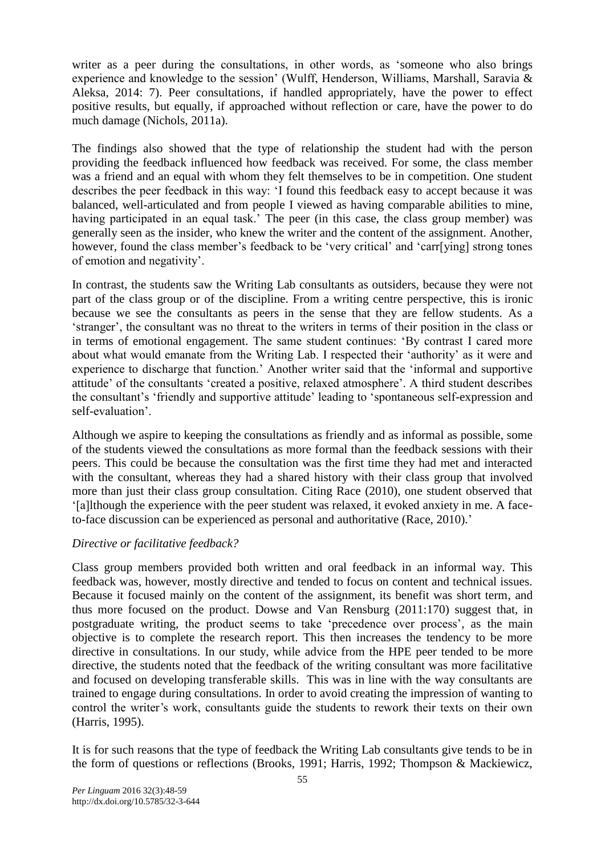writer as a peer during the consultations, in other words, as 'someone who also brings experience and knowledge to the session' (Wulff, Henderson, Williams, Marshall, Saravia & Aleksa, 2014: 7). Peer consultations, if handled appropriately, have the power to effect positive results, but equally, if approached without reflection or care, have the power to do much damage (Nichols, 2011a).

The findings also showed that the type of relationship the student had with the person providing the feedback influenced how feedback was received. For some, the class member was a friend and an equal with whom they felt themselves to be in competition. One student describes the peer feedback in this way: 'I found this feedback easy to accept because it was balanced, well-articulated and from people I viewed as having comparable abilities to mine, having participated in an equal task.' The peer (in this case, the class group member) was generally seen as the insider, who knew the writer and the content of the assignment. Another, however, found the class member's feedback to be 'very critical' and 'carr[ying] strong tones of emotion and negativity'.

In contrast, the students saw the Writing Lab consultants as outsiders, because they were not part of the class group or of the discipline. From a writing centre perspective, this is ironic because we see the consultants as peers in the sense that they are fellow students. As a 'stranger', the consultant was no threat to the writers in terms of their position in the class or in terms of emotional engagement. The same student continues: 'By contrast I cared more about what would emanate from the Writing Lab. I respected their 'authority' as it were and experience to discharge that function.' Another writer said that the 'informal and supportive attitude' of the consultants 'created a positive, relaxed atmosphere'. A third student describes the consultant's 'friendly and supportive attitude' leading to 'spontaneous self-expression and self-evaluation'.

Although we aspire to keeping the consultations as friendly and as informal as possible, some of the students viewed the consultations as more formal than the feedback sessions with their peers. This could be because the consultation was the first time they had met and interacted with the consultant, whereas they had a shared history with their class group that involved more than just their class group consultation. Citing Race (2010), one student observed that '[a]lthough the experience with the peer student was relaxed, it evoked anxiety in me. A faceto-face discussion can be experienced as personal and authoritative (Race, 2010).'

## *Directive or facilitative feedback?*

Class group members provided both written and oral feedback in an informal way. This feedback was, however, mostly directive and tended to focus on content and technical issues. Because it focused mainly on the content of the assignment, its benefit was short term, and thus more focused on the product. Dowse and Van Rensburg (2011:170) suggest that, in postgraduate writing, the product seems to take 'precedence over process', as the main objective is to complete the research report. This then increases the tendency to be more directive in consultations. In our study, while advice from the HPE peer tended to be more directive, the students noted that the feedback of the writing consultant was more facilitative and focused on developing transferable skills. This was in line with the way consultants are trained to engage during consultations. In order to avoid creating the impression of wanting to control the writer's work, consultants guide the students to rework their texts on their own (Harris, 1995).

It is for such reasons that the type of feedback the Writing Lab consultants give tends to be in the form of questions or reflections (Brooks, 1991; Harris, 1992; Thompson & Mackiewicz,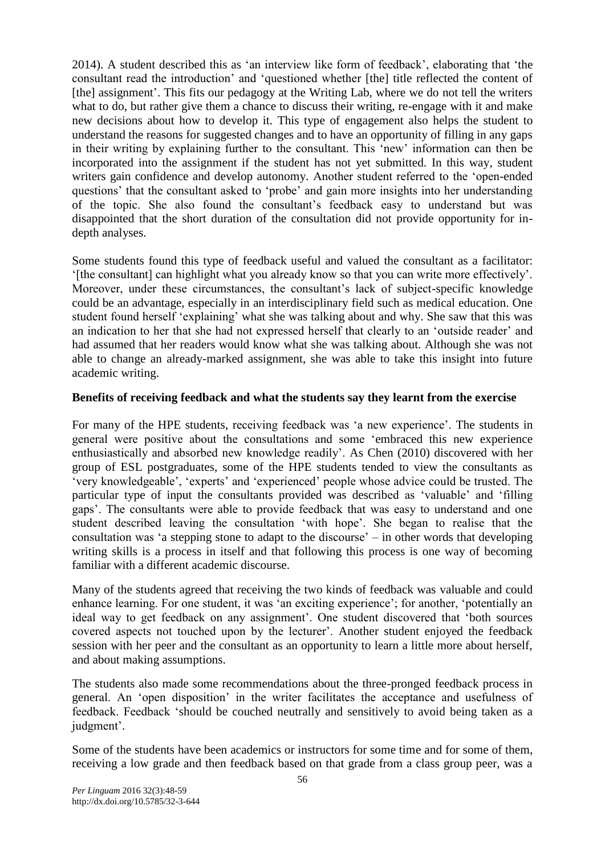2014). A student described this as 'an interview like form of feedback', elaborating that 'the consultant read the introduction' and 'questioned whether [the] title reflected the content of [the] assignment'. This fits our pedagogy at the Writing Lab, where we do not tell the writers what to do, but rather give them a chance to discuss their writing, re-engage with it and make new decisions about how to develop it. This type of engagement also helps the student to understand the reasons for suggested changes and to have an opportunity of filling in any gaps in their writing by explaining further to the consultant. This 'new' information can then be incorporated into the assignment if the student has not yet submitted. In this way, student writers gain confidence and develop autonomy. Another student referred to the 'open-ended questions' that the consultant asked to 'probe' and gain more insights into her understanding of the topic. She also found the consultant's feedback easy to understand but was disappointed that the short duration of the consultation did not provide opportunity for indepth analyses.

Some students found this type of feedback useful and valued the consultant as a facilitator: '[the consultant] can highlight what you already know so that you can write more effectively'. Moreover, under these circumstances, the consultant's lack of subject-specific knowledge could be an advantage, especially in an interdisciplinary field such as medical education. One student found herself 'explaining' what she was talking about and why. She saw that this was an indication to her that she had not expressed herself that clearly to an 'outside reader' and had assumed that her readers would know what she was talking about. Although she was not able to change an already-marked assignment, she was able to take this insight into future academic writing.

## **Benefits of receiving feedback and what the students say they learnt from the exercise**

For many of the HPE students, receiving feedback was 'a new experience'. The students in general were positive about the consultations and some 'embraced this new experience enthusiastically and absorbed new knowledge readily'. As Chen (2010) discovered with her group of ESL postgraduates, some of the HPE students tended to view the consultants as 'very knowledgeable', 'experts' and 'experienced' people whose advice could be trusted. The particular type of input the consultants provided was described as 'valuable' and 'filling gaps'. The consultants were able to provide feedback that was easy to understand and one student described leaving the consultation 'with hope'. She began to realise that the consultation was 'a stepping stone to adapt to the discourse' – in other words that developing writing skills is a process in itself and that following this process is one way of becoming familiar with a different academic discourse.

Many of the students agreed that receiving the two kinds of feedback was valuable and could enhance learning. For one student, it was 'an exciting experience'; for another, 'potentially an ideal way to get feedback on any assignment'. One student discovered that 'both sources covered aspects not touched upon by the lecturer'. Another student enjoyed the feedback session with her peer and the consultant as an opportunity to learn a little more about herself, and about making assumptions.

The students also made some recommendations about the three-pronged feedback process in general. An 'open disposition' in the writer facilitates the acceptance and usefulness of feedback. Feedback 'should be couched neutrally and sensitively to avoid being taken as a judgment'.

Some of the students have been academics or instructors for some time and for some of them, receiving a low grade and then feedback based on that grade from a class group peer, was a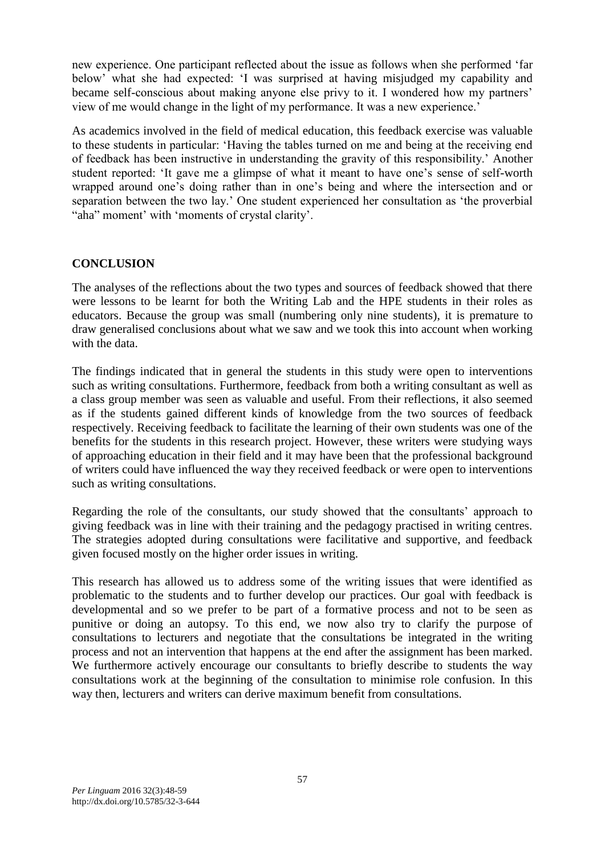new experience. One participant reflected about the issue as follows when she performed 'far below' what she had expected: 'I was surprised at having misjudged my capability and became self-conscious about making anyone else privy to it. I wondered how my partners' view of me would change in the light of my performance. It was a new experience.'

As academics involved in the field of medical education, this feedback exercise was valuable to these students in particular: 'Having the tables turned on me and being at the receiving end of feedback has been instructive in understanding the gravity of this responsibility.' Another student reported: 'It gave me a glimpse of what it meant to have one's sense of self-worth wrapped around one's doing rather than in one's being and where the intersection and or separation between the two lay.' One student experienced her consultation as 'the proverbial "aha" moment' with 'moments of crystal clarity'.

## **CONCLUSION**

The analyses of the reflections about the two types and sources of feedback showed that there were lessons to be learnt for both the Writing Lab and the HPE students in their roles as educators. Because the group was small (numbering only nine students), it is premature to draw generalised conclusions about what we saw and we took this into account when working with the data.

The findings indicated that in general the students in this study were open to interventions such as writing consultations. Furthermore, feedback from both a writing consultant as well as a class group member was seen as valuable and useful. From their reflections, it also seemed as if the students gained different kinds of knowledge from the two sources of feedback respectively. Receiving feedback to facilitate the learning of their own students was one of the benefits for the students in this research project. However, these writers were studying ways of approaching education in their field and it may have been that the professional background of writers could have influenced the way they received feedback or were open to interventions such as writing consultations.

Regarding the role of the consultants, our study showed that the consultants' approach to giving feedback was in line with their training and the pedagogy practised in writing centres. The strategies adopted during consultations were facilitative and supportive, and feedback given focused mostly on the higher order issues in writing.

This research has allowed us to address some of the writing issues that were identified as problematic to the students and to further develop our practices. Our goal with feedback is developmental and so we prefer to be part of a formative process and not to be seen as punitive or doing an autopsy. To this end, we now also try to clarify the purpose of consultations to lecturers and negotiate that the consultations be integrated in the writing process and not an intervention that happens at the end after the assignment has been marked. We furthermore actively encourage our consultants to briefly describe to students the way consultations work at the beginning of the consultation to minimise role confusion. In this way then, lecturers and writers can derive maximum benefit from consultations.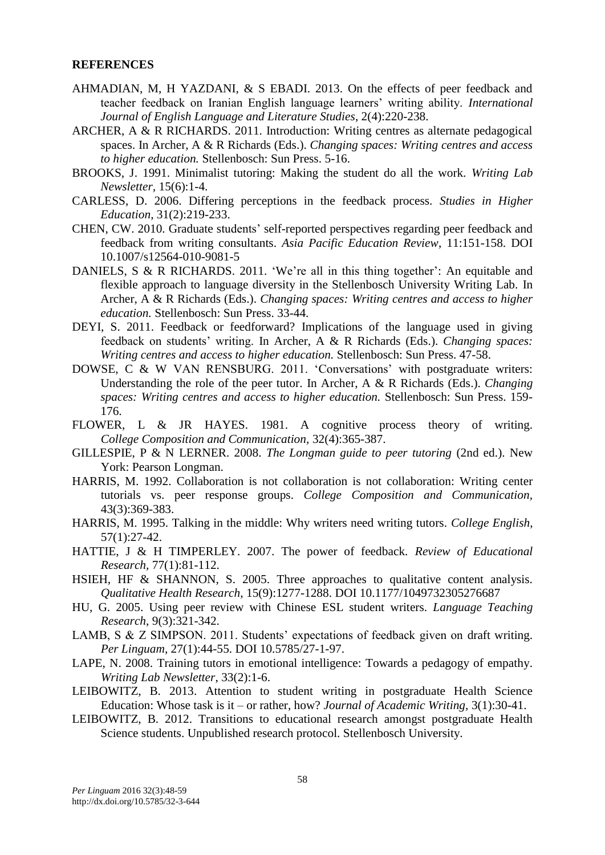#### **REFERENCES**

- AHMADIAN, M, H YAZDANI, & S EBADI. 2013. On the effects of peer feedback and teacher feedback on Iranian English language learners' writing ability. *International Journal of English Language and Literature Studies*, 2(4):220-238.
- ARCHER, A & R RICHARDS. 2011. Introduction: Writing centres as alternate pedagogical spaces. In Archer, A & R Richards (Eds.). *Changing spaces: Writing centres and access to higher education.* Stellenbosch: Sun Press. 5-16.
- BROOKS, J. 1991. Minimalist tutoring: Making the student do all the work. *Writing Lab Newsletter,* 15(6):1-4.
- CARLESS, D. 2006. Differing perceptions in the feedback process. *Studies in Higher Education*, 31(2):219-233.
- CHEN, CW. 2010. Graduate students' self-reported perspectives regarding peer feedback and feedback from writing consultants. *Asia Pacific Education Review*, 11:151-158. DOI 10.1007/s12564-010-9081-5
- DANIELS, S & R RICHARDS. 2011. 'We're all in this thing together': An equitable and flexible approach to language diversity in the Stellenbosch University Writing Lab. In Archer, A & R Richards (Eds.). *Changing spaces: Writing centres and access to higher education.* Stellenbosch: Sun Press. 33-44.
- DEYI, S. 2011. Feedback or feedforward? Implications of the language used in giving feedback on students' writing. In Archer, A & R Richards (Eds.). *Changing spaces: Writing centres and access to higher education.* Stellenbosch: Sun Press. 47-58.
- DOWSE, C & W VAN RENSBURG. 2011. 'Conversations' with postgraduate writers: Understanding the role of the peer tutor. In Archer, A & R Richards (Eds.). *Changing spaces: Writing centres and access to higher education.* Stellenbosch: Sun Press. 159- 176.
- FLOWER, L & JR HAYES. 1981. A cognitive process theory of writing. *College Composition and Communication,* 32(4):365-387.
- GILLESPIE, P & N LERNER. 2008. *The Longman guide to peer tutoring* (2nd ed.). New York: Pearson Longman.
- HARRIS, M. 1992. Collaboration is not collaboration is not collaboration: Writing center tutorials vs. peer response groups. *College Composition and Communication,* 43(3):369-383.
- HARRIS, M. 1995. Talking in the middle: Why writers need writing tutors. *College English*, 57(1):27-42.
- HATTIE, J & H TIMPERLEY. 2007. The power of feedback. *Review of Educational Research,* 77(1):81-112.
- HSIEH, HF & SHANNON, S. 2005. Three approaches to qualitative content analysis. *Qualitative Health Research*, 15(9):1277-1288. DOI 10.1177/1049732305276687
- HU, G. 2005. Using peer review with Chinese ESL student writers. *Language Teaching Research*, 9(3):321*-*342.
- LAMB, S & Z SIMPSON. 2011. Students' expectations of feedback given on draft writing. *Per Linguam,* 27(1):44-55. DOI 10.5785/27-1-97.
- LAPE, N. 2008. Training tutors in emotional intelligence: Towards a pedagogy of empathy. *Writing Lab Newsletter*, 33(2):1-6.
- LEIBOWITZ, B. 2013. Attention to student writing in postgraduate Health Science Education: Whose task is it – or rather, how? *Journal of Academic Writing,* 3(1):30-41.
- LEIBOWITZ, B. 2012. Transitions to educational research amongst postgraduate Health Science students. Unpublished research protocol. Stellenbosch University.